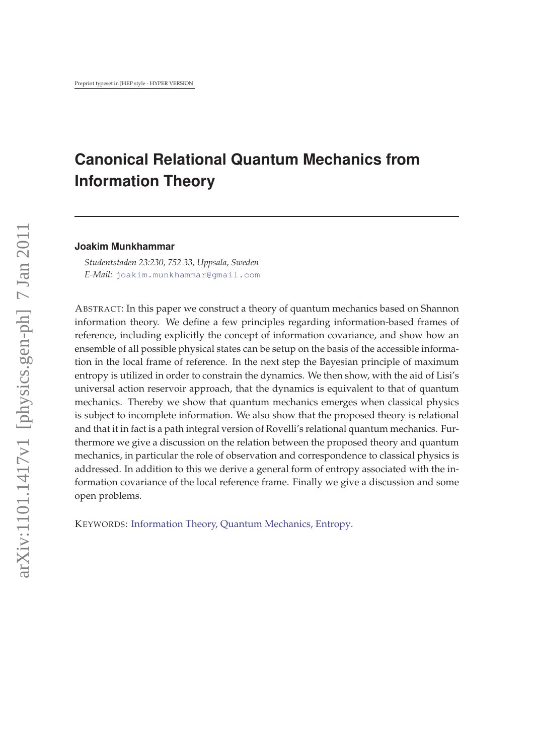# **Canonical Relational Quantum Mechanics from Information Theory**

#### **Joakim Munkhammar**

*Studentstaden 23:230, 752 33, Uppsala, Sweden E-Mail:* [joakim.munkhammar@gmail.com](mailto:joakim.munkhammar@gmail.com)

ABSTRACT: In this paper we construct a theory of quantum mechanics based on Shannon information theory. We define a few principles regarding information-based frames of reference, including explicitly the concept of information covariance, and show how an ensemble of all possible physical states can be setup on the basis of the accessible information in the local frame of reference. In the next step the Bayesian principle of maximum entropy is utilized in order to constrain the dynamics. We then show, with the aid of Lisi's universal action reservoir approach, that the dynamics is equivalent to that of quantum mechanics. Thereby we show that quantum mechanics emerges when classical physics is subject to incomplete information. We also show that the proposed theory is relational and that it in fact is a path integral version of Rovelli's relational quantum mechanics. Furthermore we give a discussion on the relation between the proposed theory and quantum mechanics, in particular the role of observation and correspondence to classical physics is addressed. In addition to this we derive a general form of entropy associated with the information covariance of the local reference frame. Finally we give a discussion and some open problems.

KEYWORDS: [Information Theory, Quantum Mechanics, Entropy](http://jhep.sissa.it/stdsearch).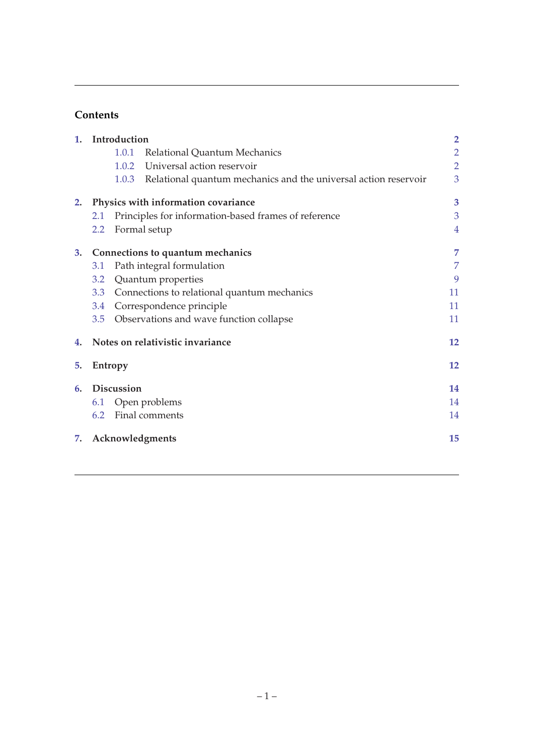## **Contents**

| 1. | Introduction                        |                 |                                                                 | $\overline{2}$ |
|----|-------------------------------------|-----------------|-----------------------------------------------------------------|----------------|
|    |                                     | 1.0.1           | Relational Quantum Mechanics                                    | $\overline{2}$ |
|    |                                     | 1.0.2           | Universal action reservoir                                      | $\overline{2}$ |
|    |                                     | 1.0.3           | Relational quantum mechanics and the universal action reservoir | 3              |
| 2. | Physics with information covariance |                 |                                                                 | 3              |
|    | 2.1                                 |                 | Principles for information-based frames of reference            | 3              |
|    | 2.2                                 |                 | Formal setup                                                    | $\overline{4}$ |
| 3. | Connections to quantum mechanics    |                 |                                                                 | 7              |
|    | 3.1                                 |                 | Path integral formulation                                       | 7              |
|    | 3.2                                 |                 | Quantum properties                                              | 9              |
|    | 3.3                                 |                 | Connections to relational quantum mechanics                     | 11             |
|    | 3.4                                 |                 | Correspondence principle                                        | 11             |
|    | 3.5                                 |                 | Observations and wave function collapse                         | 11             |
| 4. | Notes on relativistic invariance    |                 | 12                                                              |                |
| 5. | Entropy                             |                 |                                                                 | 12             |
| 6. | <b>Discussion</b>                   |                 |                                                                 | 14             |
|    | 6.1                                 |                 | Open problems                                                   | 14             |
|    | 6.2                                 |                 | Final comments                                                  | 14             |
| 7. |                                     | Acknowledgments |                                                                 |                |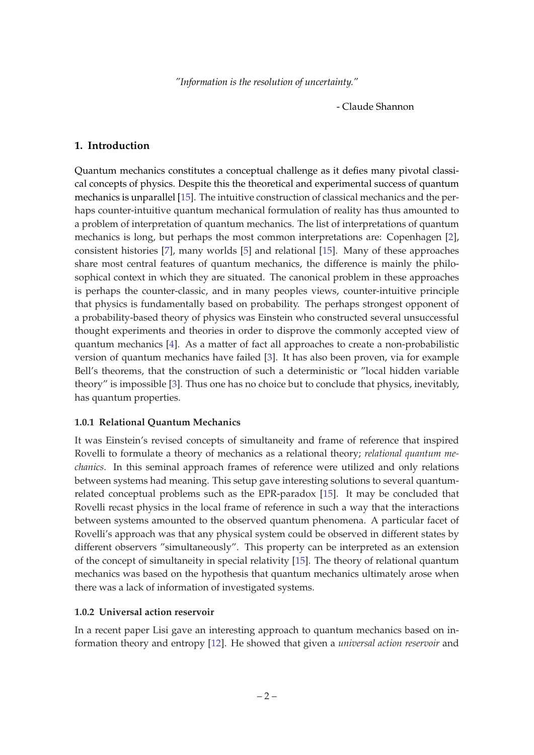- Claude Shannon

#### <span id="page-2-0"></span>**1. Introduction**

Quantum mechanics constitutes a conceptual challenge as it defies many pivotal classical concepts of physics. Despite this the theoretical and experimental success of quantum mechanics is unparallel [[15](#page-15-0)]. The intuitive construction of classical mechanics and the perhaps counter-intuitive quantum mechanical formulation of reality has thus amounted to a problem of interpretation of quantum mechanics. The list of interpretations of quantum mechanics is long, but perhaps the most common interpretations are: Copenhagen [\[2\]](#page-15-0), consistent histories [[7](#page-15-0)], many worlds [[5](#page-15-0)] and relational [\[15](#page-15-0)]. Many of these approaches share most central features of quantum mechanics, the difference is mainly the philosophical context in which they are situated. The canonical problem in these approaches is perhaps the counter-classic, and in many peoples views, counter-intuitive principle that physics is fundamentally based on probability. The perhaps strongest opponent of a probability-based theory of physics was Einstein who constructed several unsuccessful thought experiments and theories in order to disprove the commonly accepted view of quantum mechanics [[4](#page-15-0)]. As a matter of fact all approaches to create a non-probabilistic version of quantum mechanics have failed [\[3\]](#page-15-0). It has also been proven, via for example Bell's theorems, that the construction of such a deterministic or "local hidden variable theory" is impossible [[3](#page-15-0)]. Thus one has no choice but to conclude that physics, inevitably, has quantum properties.

#### **1.0.1 Relational Quantum Mechanics**

It was Einstein's revised concepts of simultaneity and frame of reference that inspired Rovelli to formulate a theory of mechanics as a relational theory; *relational quantum mechanics*. In this seminal approach frames of reference were utilized and only relations between systems had meaning. This setup gave interesting solutions to several quantumrelated conceptual problems such as the EPR-paradox [\[15](#page-15-0)]. It may be concluded that Rovelli recast physics in the local frame of reference in such a way that the interactions between systems amounted to the observed quantum phenomena. A particular facet of Rovelli's approach was that any physical system could be observed in different states by different observers "simultaneously". This property can be interpreted as an extension of the concept of simultaneity in special relativity [\[15](#page-15-0)]. The theory of relational quantum mechanics was based on the hypothesis that quantum mechanics ultimately arose when there was a lack of information of investigated systems.

#### **1.0.2 Universal action reservoir**

In a recent paper Lisi gave an interesting approach to quantum mechanics based on information theory and entropy [[12](#page-15-0)]. He showed that given a *universal action reservoir* and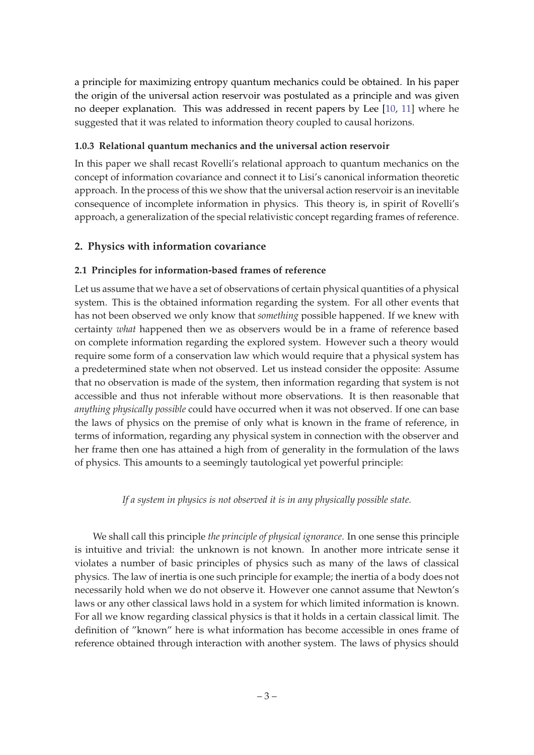<span id="page-3-0"></span>a principle for maximizing entropy quantum mechanics could be obtained. In his paper the origin of the universal action reservoir was postulated as a principle and was given no deeper explanation. This was addressed in recent papers by Lee [\[10,](#page-15-0) [11\]](#page-15-0) where he suggested that it was related to information theory coupled to causal horizons.

#### **1.0.3 Relational quantum mechanics and the universal action reservoir**

In this paper we shall recast Rovelli's relational approach to quantum mechanics on the concept of information covariance and connect it to Lisi's canonical information theoretic approach. In the process of this we show that the universal action reservoir is an inevitable consequence of incomplete information in physics. This theory is, in spirit of Rovelli's approach, a generalization of the special relativistic concept regarding frames of reference.

## **2. Physics with information covariance**

## **2.1 Principles for information-based frames of reference**

Let us assume that we have a set of observations of certain physical quantities of a physical system. This is the obtained information regarding the system. For all other events that has not been observed we only know that *something* possible happened. If we knew with certainty *what* happened then we as observers would be in a frame of reference based on complete information regarding the explored system. However such a theory would require some form of a conservation law which would require that a physical system has a predetermined state when not observed. Let us instead consider the opposite: Assume that no observation is made of the system, then information regarding that system is not accessible and thus not inferable without more observations. It is then reasonable that *anything physically possible* could have occurred when it was not observed. If one can base the laws of physics on the premise of only what is known in the frame of reference, in terms of information, regarding any physical system in connection with the observer and her frame then one has attained a high from of generality in the formulation of the laws of physics. This amounts to a seemingly tautological yet powerful principle:

#### *If a system in physics is not observed it is in any physically possible state.*

We shall call this principle *the principle of physical ignorance*. In one sense this principle is intuitive and trivial: the unknown is not known. In another more intricate sense it violates a number of basic principles of physics such as many of the laws of classical physics. The law of inertia is one such principle for example; the inertia of a body does not necessarily hold when we do not observe it. However one cannot assume that Newton's laws or any other classical laws hold in a system for which limited information is known. For all we know regarding classical physics is that it holds in a certain classical limit. The definition of "known" here is what information has become accessible in ones frame of reference obtained through interaction with another system. The laws of physics should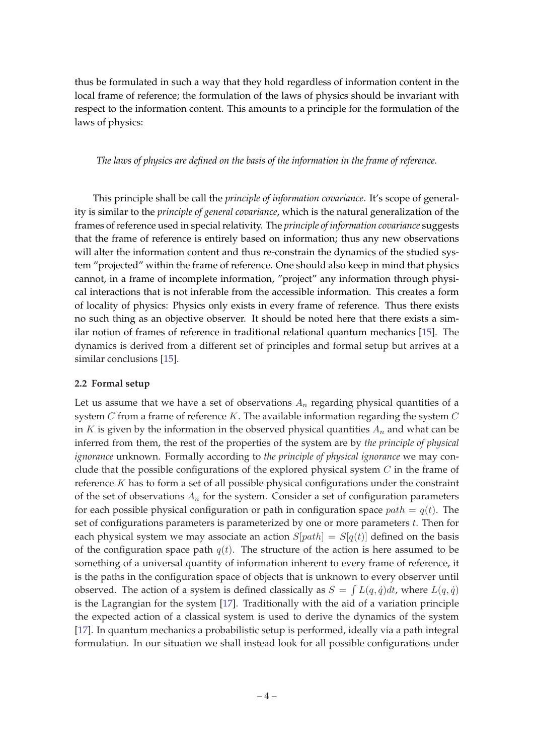<span id="page-4-0"></span>thus be formulated in such a way that they hold regardless of information content in the local frame of reference; the formulation of the laws of physics should be invariant with respect to the information content. This amounts to a principle for the formulation of the laws of physics:

*The laws of physics are defined on the basis of the information in the frame of reference.*

This principle shall be call the *principle of information covariance*. It's scope of generality is similar to the *principle of general covariance*, which is the natural generalization of the frames of reference used in special relativity. The *principle of information covariance* suggests that the frame of reference is entirely based on information; thus any new observations will alter the information content and thus re-constrain the dynamics of the studied system "projected" within the frame of reference. One should also keep in mind that physics cannot, in a frame of incomplete information, "project" any information through physical interactions that is not inferable from the accessible information. This creates a form of locality of physics: Physics only exists in every frame of reference. Thus there exists no such thing as an objective observer. It should be noted here that there exists a similar notion of frames of reference in traditional relational quantum mechanics [\[15](#page-15-0)]. The dynamics is derived from a different set of principles and formal setup but arrives at a similar conclusions [\[15](#page-15-0)].

#### **2.2 Formal setup**

Let us assume that we have a set of observations  $A_n$  regarding physical quantities of a system  $C$  from a frame of reference  $K$ . The available information regarding the system  $C$ in K is given by the information in the observed physical quantities  $A_n$  and what can be inferred from them, the rest of the properties of the system are by *the principle of physical ignorance* unknown. Formally according to *the principle of physical ignorance* we may conclude that the possible configurations of the explored physical system  $C$  in the frame of reference  $K$  has to form a set of all possible physical configurations under the constraint of the set of observations  $A_n$  for the system. Consider a set of configuration parameters for each possible physical configuration or path in configuration space  $path = q(t)$ . The set of configurations parameters is parameterized by one or more parameters  $t$ . Then for each physical system we may associate an action  $S[path] = S[q(t)]$  defined on the basis of the configuration space path  $q(t)$ . The structure of the action is here assumed to be something of a universal quantity of information inherent to every frame of reference, it is the paths in the configuration space of objects that is unknown to every observer until observed. The action of a system is defined classically as  $S = \int L(q, \dot{q}) dt$ , where  $L(q, \dot{q})$ is the Lagrangian for the system [\[17](#page-15-0)]. Traditionally with the aid of a variation principle the expected action of a classical system is used to derive the dynamics of the system [[17\]](#page-15-0). In quantum mechanics a probabilistic setup is performed, ideally via a path integral formulation. In our situation we shall instead look for all possible configurations under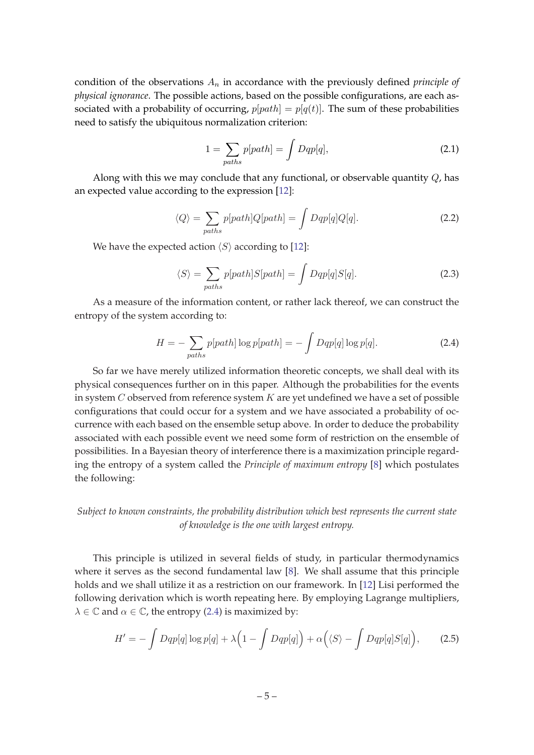<span id="page-5-0"></span>condition of the observations  $A_n$  in accordance with the previously defined *principle of physical ignorance*. The possible actions, based on the possible configurations, are each associated with a probability of occurring,  $p[path] = p[q(t)]$ . The sum of these probabilities need to satisfy the ubiquitous normalization criterion:

$$
1 = \sum_{paths} p[path] = \int Dqp[q], \qquad (2.1)
$$

Along with this we may conclude that any functional, or observable quantity  $Q$ , has an expected value according to the expression [[12\]](#page-15-0):

$$
\langle Q \rangle = \sum_{paths} p[path]Q[path] = \int Dqp[q]Q[q]. \tag{2.2}
$$

We have the expected action  $\langle S \rangle$  according to [[12\]](#page-15-0):

$$
\langle S \rangle = \sum_{paths} p[path]S[path] = \int Dqp[q]S[q]. \tag{2.3}
$$

As a measure of the information content, or rather lack thereof, we can construct the entropy of the system according to:

$$
H = -\sum_{paths} p[path] \log p[path] = -\int Dqp[q] \log p[q]. \tag{2.4}
$$

So far we have merely utilized information theoretic concepts, we shall deal with its physical consequences further on in this paper. Although the probabilities for the events in system  $C$  observed from reference system  $K$  are yet undefined we have a set of possible configurations that could occur for a system and we have associated a probability of occurrence with each based on the ensemble setup above. In order to deduce the probability associated with each possible event we need some form of restriction on the ensemble of possibilities. In a Bayesian theory of interference there is a maximization principle regarding the entropy of a system called the *Principle of maximum entropy* [[8](#page-15-0)] which postulates the following:

#### *Subject to known constraints, the probability distribution which best represents the current state of knowledge is the one with largest entropy.*

This principle is utilized in several fields of study, in particular thermodynamics where it serves as the second fundamental law [[8](#page-15-0)]. We shall assume that this principle holds and we shall utilize it as a restriction on our framework. In [[12](#page-15-0)] Lisi performed the following derivation which is worth repeating here. By employing Lagrange multipliers,  $\lambda \in \mathbb{C}$  and  $\alpha \in \mathbb{C}$ , the entropy (2.4) is maximized by:

$$
H' = -\int Dqp[q] \log p[q] + \lambda \Big(1 - \int Dqp[q]\Big) + \alpha \Big(\langle S \rangle - \int Dqp[q]S[q]\Big),\tag{2.5}
$$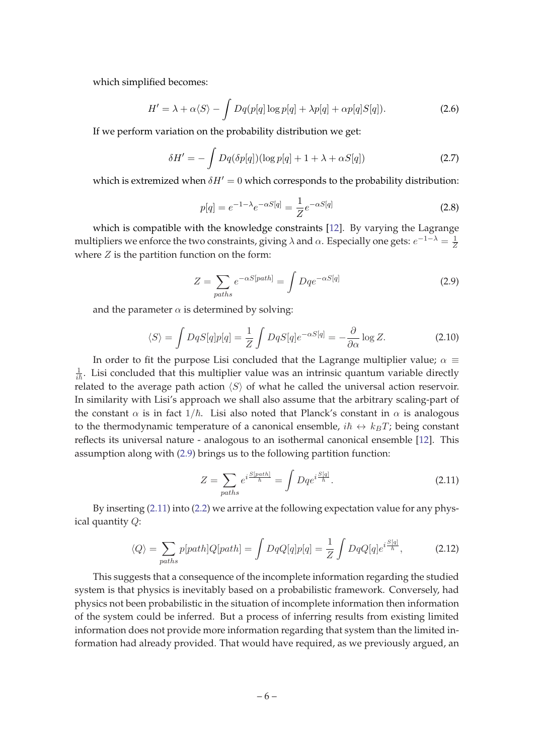<span id="page-6-0"></span>which simplified becomes:

$$
H' = \lambda + \alpha \langle S \rangle - \int Dq(p[q] \log p[q] + \lambda p[q] + \alpha p[q] S[q]). \tag{2.6}
$$

If we perform variation on the probability distribution we get:

$$
\delta H' = -\int Dq(\delta p[q])(\log p[q] + 1 + \lambda + \alpha S[q]) \tag{2.7}
$$

which is extremized when  $\delta H' = 0$  which corresponds to the probability distribution:

$$
p[q] = e^{-1 - \lambda} e^{-\alpha S[q]} = \frac{1}{Z} e^{-\alpha S[q]} \tag{2.8}
$$

which is compatible with the knowledge constraints [\[12](#page-15-0)]. By varying the Lagrange multipliers we enforce the two constraints, giving  $\lambda$  and  $\alpha$ . Especially one gets:  $e^{-1-\lambda} = \frac{1}{Z}$ Z where  $Z$  is the partition function on the form:

$$
Z = \sum_{paths} e^{-\alpha S[path]} = \int Dqe^{-\alpha S[q]} \tag{2.9}
$$

and the parameter  $\alpha$  is determined by solving:

$$
\langle S \rangle = \int DqS[q]p[q] = \frac{1}{Z} \int DqS[q]e^{-\alpha S[q]} = -\frac{\partial}{\partial \alpha} \log Z. \tag{2.10}
$$

In order to fit the purpose Lisi concluded that the Lagrange multiplier value;  $\alpha \equiv$  $\frac{1}{i\hbar}$ . Lisi concluded that this multiplier value was an intrinsic quantum variable directly related to the average path action  $\langle S \rangle$  of what he called the universal action reservoir. In similarity with Lisi's approach we shall also assume that the arbitrary scaling-part of the constant  $\alpha$  is in fact  $1/\hbar$ . Lisi also noted that Planck's constant in  $\alpha$  is analogous to the thermodynamic temperature of a canonical ensemble,  $i\hbar \leftrightarrow k_BT$ ; being constant reflects its universal nature - analogous to an isothermal canonical ensemble [\[12](#page-15-0)]. This assumption along with (2.9) brings us to the following partition function:

$$
Z = \sum_{paths} e^{i\frac{S[path]}{\hbar}} = \int Dqe^{i\frac{S[q]}{\hbar}}.
$$
\n(2.11)

By inserting (2.11) into [\(2.2\)](#page-5-0) we arrive at the following expectation value for any physical quantity Q:

$$
\langle Q \rangle = \sum_{paths} p[path]Q[path] = \int DqQ[q]p[q] = \frac{1}{Z} \int DqQ[q]e^{i\frac{S[q]}{\hbar}}, \tag{2.12}
$$

This suggests that a consequence of the incomplete information regarding the studied system is that physics is inevitably based on a probabilistic framework. Conversely, had physics not been probabilistic in the situation of incomplete information then information of the system could be inferred. But a process of inferring results from existing limited information does not provide more information regarding that system than the limited information had already provided. That would have required, as we previously argued, an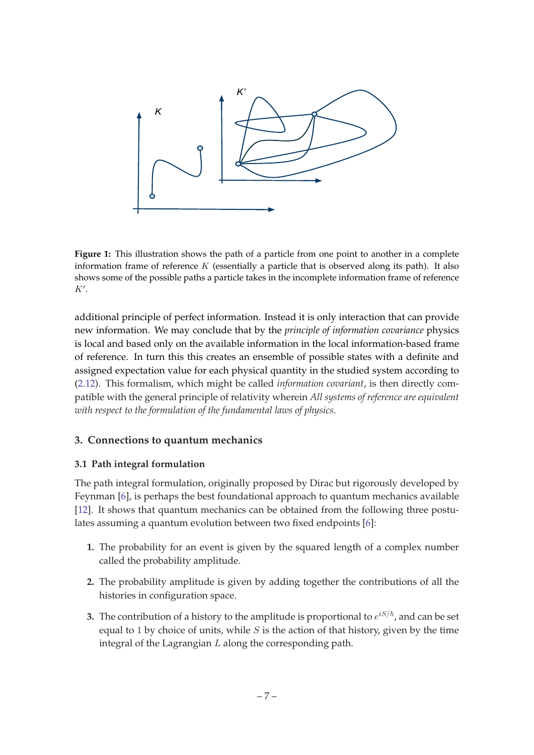<span id="page-7-0"></span>

**Figure 1:** This illustration shows the path of a particle from one point to another in a complete information frame of reference  $K$  (essentially a particle that is observed along its path). It also shows some of the possible paths a particle takes in the incomplete information frame of reference  $K'.$ 

additional principle of perfect information. Instead it is only interaction that can provide new information. We may conclude that by the *principle of information covariance* physics is local and based only on the available information in the local information-based frame of reference. In turn this this creates an ensemble of possible states with a definite and assigned expectation value for each physical quantity in the studied system according to ([2.12](#page-6-0)). This formalism, which might be called *information covariant*, is then directly compatible with the general principle of relativity wherein *All systems of reference are equivalent with respect to the formulation of the fundamental laws of physics*.

## **3. Connections to quantum mechanics**

## **3.1 Path integral formulation**

The path integral formulation, originally proposed by Dirac but rigorously developed by Feynman [[6](#page-15-0)], is perhaps the best foundational approach to quantum mechanics available [[12\]](#page-15-0). It shows that quantum mechanics can be obtained from the following three postulates assuming a quantum evolution between two fixed endpoints [[6](#page-15-0)]:

- **1.** The probability for an event is given by the squared length of a complex number called the probability amplitude.
- **2.** The probability amplitude is given by adding together the contributions of all the histories in configuration space.
- **3.** The contribution of a history to the amplitude is proportional to  $e^{iS/\hbar}$ , and can be set equal to 1 by choice of units, while  $S$  is the action of that history, given by the time integral of the Lagrangian  $L$  along the corresponding path.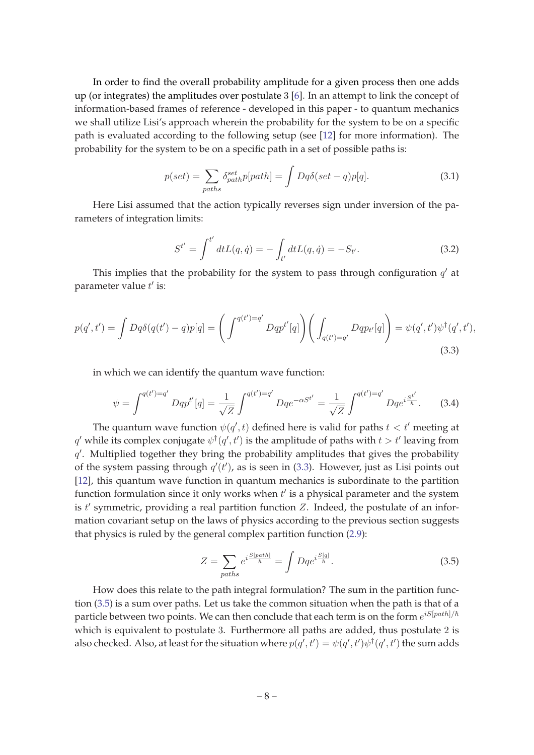In order to find the overall probability amplitude for a given process then one adds up (or integrates) the amplitudes over postulate 3 [\[6\]](#page-15-0). In an attempt to link the concept of information-based frames of reference - developed in this paper - to quantum mechanics we shall utilize Lisi's approach wherein the probability for the system to be on a specific path is evaluated according to the following setup (see [[12\]](#page-15-0) for more information). The probability for the system to be on a specific path in a set of possible paths is:

$$
p(set) = \sum_{paths} \delta_{path}^{set} p(path] = \int Dq\delta(set - q)p[q]. \tag{3.1}
$$

Here Lisi assumed that the action typically reverses sign under inversion of the parameters of integration limits:

$$
S^{t'} = \int^{t'} dt L(q, \dot{q}) = -\int_{t'} dt L(q, \dot{q}) = -S_{t'}.
$$
 (3.2)

This implies that the probability for the system to pass through configuration  $q'$  at parameter value  $t'$  is:

$$
p(q',t') = \int Dq\delta(q(t') - q)p[q] = \left(\int^{q(t') = q'} Dqp^{t'}[q]\right) \left(\int_{q(t') = q'} Dqp_{t'}[q]\right) = \psi(q',t')\psi^{\dagger}(q',t'),
$$
\n(3.3)

in which we can identify the quantum wave function:

$$
\psi = \int^{q(t')=q'} Dqp^{t'}[q] = \frac{1}{\sqrt{Z}} \int^{q(t')=q'} Dqe^{-\alpha S^{t'}} = \frac{1}{\sqrt{Z}} \int^{q(t')=q'} Dqe^{i\frac{S^{t'}}{\hbar}}.
$$
 (3.4)

The quantum wave function  $\psi(q',t)$  defined here is valid for paths  $t < t'$  meeting at  $q'$  while its complex conjugate  $\psi^\dagger(q',t')$  is the amplitude of paths with  $t>t'$  leaving from  $q'$ . Multiplied together they bring the probability amplitudes that gives the probability of the system passing through  $q'(t')$ , as is seen in (3.3). However, just as Lisi points out [[12\]](#page-15-0), this quantum wave function in quantum mechanics is subordinate to the partition function formulation since it only works when  $t'$  is a physical parameter and the system is  $t'$  symmetric, providing a real partition function  $Z$ . Indeed, the postulate of an information covariant setup on the laws of physics according to the previous section suggests that physics is ruled by the general complex partition function ([2.9](#page-6-0)):

$$
Z = \sum_{paths} e^{i \frac{S[path]}{\hbar}} = \int Dq e^{i \frac{S[q]}{\hbar}}.
$$
\n(3.5)

How does this relate to the path integral formulation? The sum in the partition function (3.5) is a sum over paths. Let us take the common situation when the path is that of a particle between two points. We can then conclude that each term is on the form  $e^{iS[path]/\hbar}$ which is equivalent to postulate 3. Furthermore all paths are added, thus postulate 2 is also checked. Also, at least for the situation where  $p(q',t') = \psi(q',t') \psi^\dagger(q',t')$  the sum adds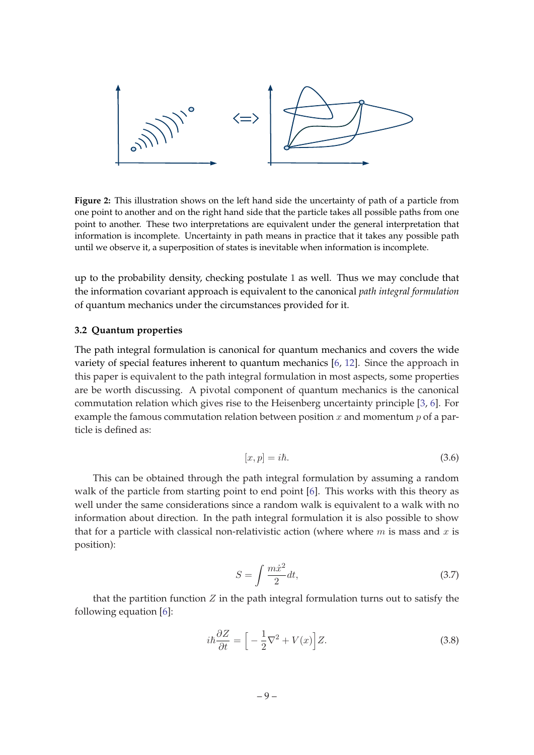<span id="page-9-0"></span>

**Figure 2:** This illustration shows on the left hand side the uncertainty of path of a particle from one point to another and on the right hand side that the particle takes all possible paths from one point to another. These two interpretations are equivalent under the general interpretation that information is incomplete. Uncertainty in path means in practice that it takes any possible path until we observe it, a superposition of states is inevitable when information is incomplete.

up to the probability density, checking postulate 1 as well. Thus we may conclude that the information covariant approach is equivalent to the canonical *path integral formulation* of quantum mechanics under the circumstances provided for it.

#### **3.2 Quantum properties**

The path integral formulation is canonical for quantum mechanics and covers the wide variety of special features inherent to quantum mechanics [[6](#page-15-0), [12](#page-15-0)]. Since the approach in this paper is equivalent to the path integral formulation in most aspects, some properties are be worth discussing. A pivotal component of quantum mechanics is the canonical commutation relation which gives rise to the Heisenberg uncertainty principle [[3](#page-15-0), [6](#page-15-0)]. For example the famous commutation relation between position  $x$  and momentum  $p$  of a particle is defined as:

$$
[x,p] = i\hbar. \tag{3.6}
$$

This can be obtained through the path integral formulation by assuming a random walk of the particle from starting point to end point [\[6\]](#page-15-0). This works with this theory as well under the same considerations since a random walk is equivalent to a walk with no information about direction. In the path integral formulation it is also possible to show that for a particle with classical non-relativistic action (where where  $m$  is mass and  $x$  is position):

$$
S = \int \frac{m\dot{x}^2}{2} dt,\tag{3.7}
$$

that the partition function  $Z$  in the path integral formulation turns out to satisfy the following equation [\[6\]](#page-15-0):

$$
i\hbar \frac{\partial Z}{\partial t} = \left[ -\frac{1}{2} \nabla^2 + V(x) \right] Z. \tag{3.8}
$$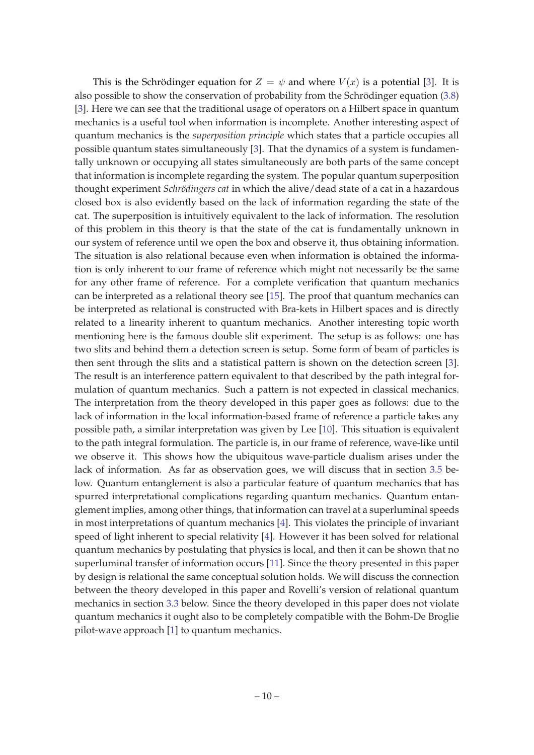This is the Schrödinger equation for  $Z = \psi$  and where  $V(x)$  is a potential [\[3\]](#page-15-0). It is also possible to show the conservation of probability from the Schrödinger equation  $(3.8)$  $(3.8)$  $(3.8)$ [[3](#page-15-0)]. Here we can see that the traditional usage of operators on a Hilbert space in quantum mechanics is a useful tool when information is incomplete. Another interesting aspect of quantum mechanics is the *superposition principle* which states that a particle occupies all possible quantum states simultaneously [[3](#page-15-0)]. That the dynamics of a system is fundamentally unknown or occupying all states simultaneously are both parts of the same concept that information is incomplete regarding the system. The popular quantum superposition thought experiment *Schrödingers cat* in which the alive/dead state of a cat in a hazardous closed box is also evidently based on the lack of information regarding the state of the cat. The superposition is intuitively equivalent to the lack of information. The resolution of this problem in this theory is that the state of the cat is fundamentally unknown in our system of reference until we open the box and observe it, thus obtaining information. The situation is also relational because even when information is obtained the information is only inherent to our frame of reference which might not necessarily be the same for any other frame of reference. For a complete verification that quantum mechanics can be interpreted as a relational theory see [[15\]](#page-15-0). The proof that quantum mechanics can be interpreted as relational is constructed with Bra-kets in Hilbert spaces and is directly related to a linearity inherent to quantum mechanics. Another interesting topic worth mentioning here is the famous double slit experiment. The setup is as follows: one has two slits and behind them a detection screen is setup. Some form of beam of particles is then sent through the slits and a statistical pattern is shown on the detection screen [\[3\]](#page-15-0). The result is an interference pattern equivalent to that described by the path integral formulation of quantum mechanics. Such a pattern is not expected in classical mechanics. The interpretation from the theory developed in this paper goes as follows: due to the lack of information in the local information-based frame of reference a particle takes any possible path, a similar interpretation was given by Lee [\[10](#page-15-0)]. This situation is equivalent to the path integral formulation. The particle is, in our frame of reference, wave-like until we observe it. This shows how the ubiquitous wave-particle dualism arises under the lack of information. As far as observation goes, we will discuss that in section [3.5](#page-11-0) below. Quantum entanglement is also a particular feature of quantum mechanics that has spurred interpretational complications regarding quantum mechanics. Quantum entanglement implies, among other things, that information can travel at a superluminal speeds in most interpretations of quantum mechanics [\[4\]](#page-15-0). This violates the principle of invariant speed of light inherent to special relativity [\[4\]](#page-15-0). However it has been solved for relational quantum mechanics by postulating that physics is local, and then it can be shown that no superluminal transfer of information occurs [[11\]](#page-15-0). Since the theory presented in this paper by design is relational the same conceptual solution holds. We will discuss the connection between the theory developed in this paper and Rovelli's version of relational quantum mechanics in section [3.3](#page-11-0) below. Since the theory developed in this paper does not violate quantum mechanics it ought also to be completely compatible with the Bohm-De Broglie pilot-wave approach [[1](#page-15-0)] to quantum mechanics.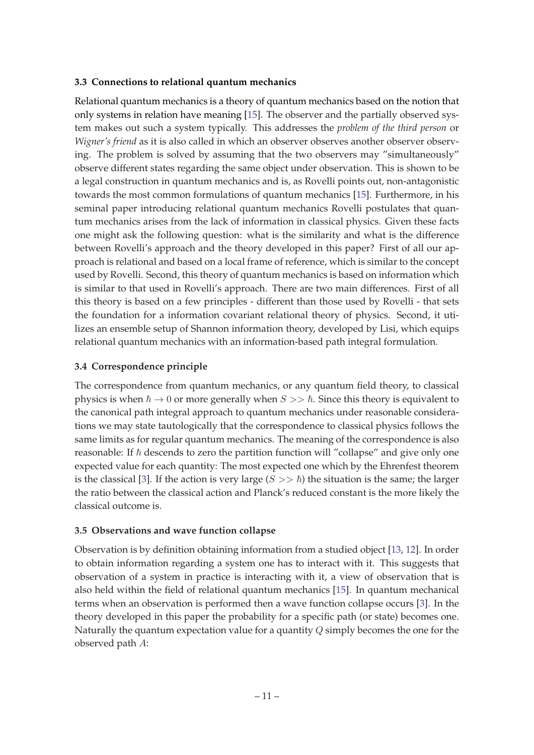#### <span id="page-11-0"></span>**3.3 Connections to relational quantum mechanics**

Relational quantum mechanics is a theory of quantum mechanics based on the notion that only systems in relation have meaning [[15\]](#page-15-0). The observer and the partially observed system makes out such a system typically. This addresses the *problem of the third person* or *Wigner's friend* as it is also called in which an observer observes another observer observing. The problem is solved by assuming that the two observers may "simultaneously" observe different states regarding the same object under observation. This is shown to be a legal construction in quantum mechanics and is, as Rovelli points out, non-antagonistic towards the most common formulations of quantum mechanics [\[15](#page-15-0)]. Furthermore, in his seminal paper introducing relational quantum mechanics Rovelli postulates that quantum mechanics arises from the lack of information in classical physics. Given these facts one might ask the following question: what is the similarity and what is the difference between Rovelli's approach and the theory developed in this paper? First of all our approach is relational and based on a local frame of reference, which is similar to the concept used by Rovelli. Second, this theory of quantum mechanics is based on information which is similar to that used in Rovelli's approach. There are two main differences. First of all this theory is based on a few principles - different than those used by Rovelli - that sets the foundation for a information covariant relational theory of physics. Second, it utilizes an ensemble setup of Shannon information theory, developed by Lisi, which equips relational quantum mechanics with an information-based path integral formulation.

## **3.4 Correspondence principle**

The correspondence from quantum mechanics, or any quantum field theory, to classical physics is when  $\hbar \to 0$  or more generally when  $S >> \hbar$ . Since this theory is equivalent to the canonical path integral approach to quantum mechanics under reasonable considerations we may state tautologically that the correspondence to classical physics follows the same limits as for regular quantum mechanics. The meaning of the correspondence is also reasonable: If  $\hbar$  descends to zero the partition function will "collapse" and give only one expected value for each quantity: The most expected one which by the Ehrenfest theorem is the classical [[3](#page-15-0)]. If the action is very large  $(S \gt\gt \hbar)$  the situation is the same; the larger the ratio between the classical action and Planck's reduced constant is the more likely the classical outcome is.

## **3.5 Observations and wave function collapse**

Observation is by definition obtaining information from a studied object [\[13](#page-15-0), [12](#page-15-0)]. In order to obtain information regarding a system one has to interact with it. This suggests that observation of a system in practice is interacting with it, a view of observation that is also held within the field of relational quantum mechanics [[15\]](#page-15-0). In quantum mechanical terms when an observation is performed then a wave function collapse occurs [\[3](#page-15-0)]. In the theory developed in this paper the probability for a specific path (or state) becomes one. Naturally the quantum expectation value for a quantity  $Q$  simply becomes the one for the observed path A: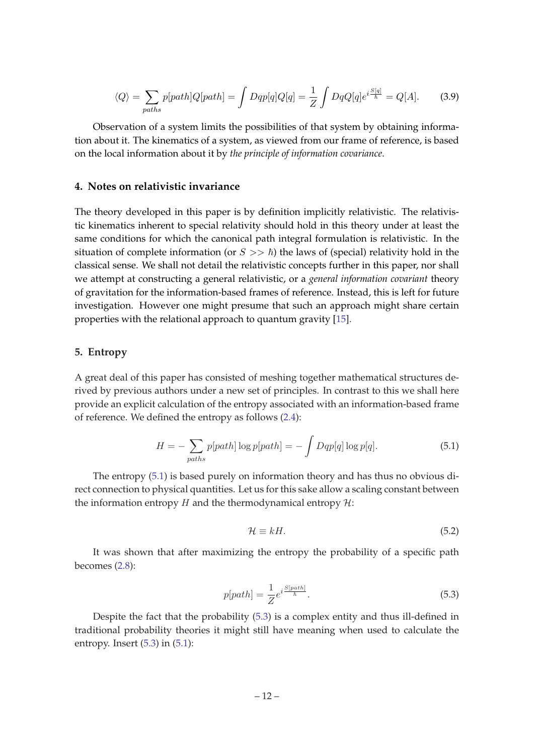<span id="page-12-0"></span>
$$
\langle Q \rangle = \sum_{paths} p[path]Q[path] = \int Dqp[q]Q[q] = \frac{1}{Z} \int DqQ[q]e^{i\frac{S[q]}{\hbar}} = Q[A]. \tag{3.9}
$$

Observation of a system limits the possibilities of that system by obtaining information about it. The kinematics of a system, as viewed from our frame of reference, is based on the local information about it by *the principle of information covariance*.

#### **4. Notes on relativistic invariance**

The theory developed in this paper is by definition implicitly relativistic. The relativistic kinematics inherent to special relativity should hold in this theory under at least the same conditions for which the canonical path integral formulation is relativistic. In the situation of complete information (or  $S \gg \hbar$ ) the laws of (special) relativity hold in the classical sense. We shall not detail the relativistic concepts further in this paper, nor shall we attempt at constructing a general relativistic, or a *general information covariant* theory of gravitation for the information-based frames of reference. Instead, this is left for future investigation. However one might presume that such an approach might share certain properties with the relational approach to quantum gravity [[15\]](#page-15-0).

#### **5. Entropy**

A great deal of this paper has consisted of meshing together mathematical structures derived by previous authors under a new set of principles. In contrast to this we shall here provide an explicit calculation of the entropy associated with an information-based frame of reference. We defined the entropy as follows [\(2.4\)](#page-5-0):

$$
H = -\sum_{paths} p[path] \log p[path] = -\int Dqp[q] \log p[q]. \tag{5.1}
$$

The entropy (5.1) is based purely on information theory and has thus no obvious direct connection to physical quantities. Let us for this sake allow a scaling constant between the information entropy  $H$  and the thermodynamical entropy  $H$ :

$$
\mathcal{H} \equiv kH. \tag{5.2}
$$

It was shown that after maximizing the entropy the probability of a specific path becomes [\(2.8\)](#page-6-0):

$$
p[path] = \frac{1}{Z} e^{i\frac{S[path]}{\hbar}}.
$$
\n(5.3)

Despite the fact that the probability (5.3) is a complex entity and thus ill-defined in traditional probability theories it might still have meaning when used to calculate the entropy. Insert (5.3) in (5.1):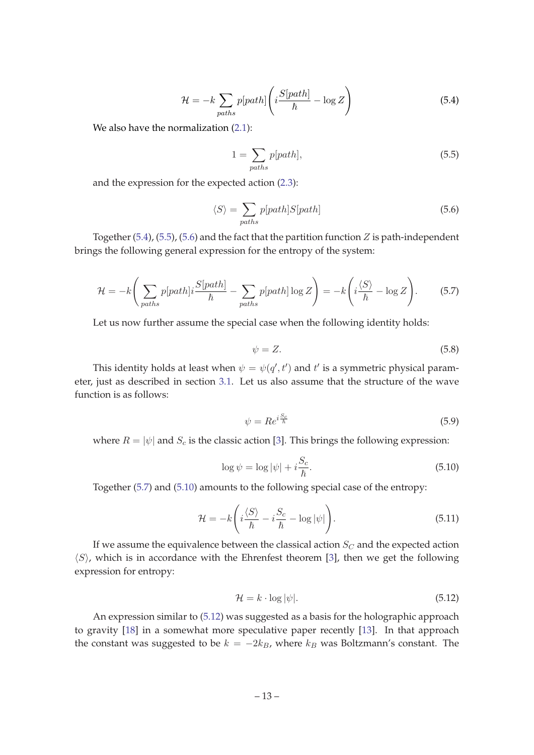$$
\mathcal{H} = -k \sum_{paths} p[path] \left( i \frac{S[path]}{\hbar} - \log Z \right) \tag{5.4}
$$

<span id="page-13-0"></span>We also have the normalization  $(2.1)$  $(2.1)$  $(2.1)$ :

$$
1 = \sum_{paths} p[path], \tag{5.5}
$$

and the expression for the expected action ([2.3](#page-5-0)):

$$
\langle S \rangle = \sum_{paths} p[path] S[path] \tag{5.6}
$$

Together (5.4), (5.5), (5.6) and the fact that the partition function  $Z$  is path-independent brings the following general expression for the entropy of the system:

$$
\mathcal{H} = -k \left( \sum_{paths} p[path] i \frac{S[path]}{\hbar} - \sum_{paths} p[path] \log Z \right) = -k \left( i \frac{\langle S \rangle}{\hbar} - \log Z \right). \tag{5.7}
$$

Let us now further assume the special case when the following identity holds:

$$
\psi = Z. \tag{5.8}
$$

This identity holds at least when  $\psi = \psi(q', t')$  and  $t'$  is a symmetric physical parameter, just as described in section [3.1.](#page-7-0) Let us also assume that the structure of the wave function is as follows:

$$
\psi = Re^{i\frac{S_c}{\hbar}} \tag{5.9}
$$

where  $R = |\psi|$  and  $S_c$  is the classic action [[3](#page-15-0)]. This brings the following expression:

$$
\log \psi = \log |\psi| + i \frac{S_c}{\hbar}.
$$
\n(5.10)

Together (5.7) and (5.10) amounts to the following special case of the entropy:

$$
\mathcal{H} = -k \left( i \frac{\langle S \rangle}{\hbar} - i \frac{S_c}{\hbar} - \log |\psi| \right). \tag{5.11}
$$

If we assume the equivalence between the classical action  $S_C$  and the expected action  $\langle S \rangle$ , which is in accordance with the Ehrenfest theorem [[3](#page-15-0)], then we get the following expression for entropy:

$$
\mathcal{H} = k \cdot \log |\psi|.
$$
\n(5.12)

An expression similar to (5.12) was suggested as a basis for the holographic approach to gravity [[18\]](#page-15-0) in a somewhat more speculative paper recently [[13\]](#page-15-0). In that approach the constant was suggested to be  $k = -2k_B$ , where  $k_B$  was Boltzmann's constant. The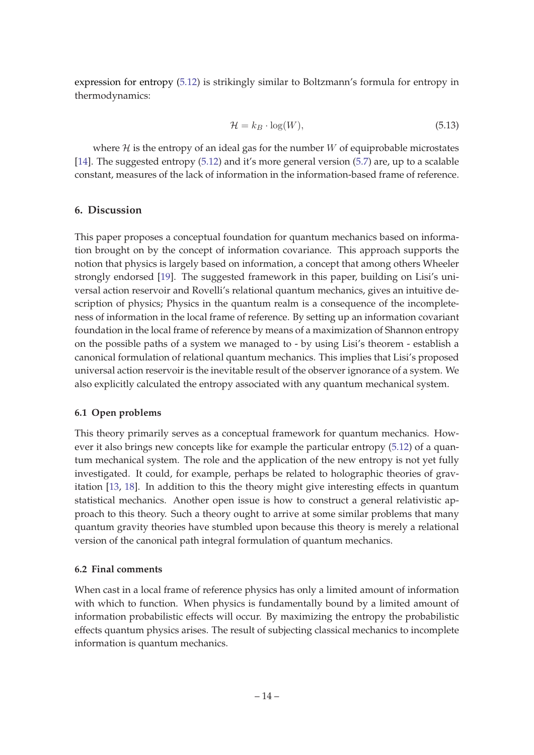<span id="page-14-0"></span>expression for entropy ([5.12\)](#page-13-0) is strikingly similar to Boltzmann's formula for entropy in thermodynamics:

$$
\mathcal{H} = k_B \cdot \log(W),\tag{5.13}
$$

where  $\mathcal H$  is the entropy of an ideal gas for the number W of equiprobable microstates [[14\]](#page-15-0). The suggested entropy ([5.12\)](#page-13-0) and it's more general version [\(5.7\)](#page-13-0) are, up to a scalable constant, measures of the lack of information in the information-based frame of reference.

#### **6. Discussion**

This paper proposes a conceptual foundation for quantum mechanics based on information brought on by the concept of information covariance. This approach supports the notion that physics is largely based on information, a concept that among others Wheeler strongly endorsed [\[19](#page-15-0)]. The suggested framework in this paper, building on Lisi's universal action reservoir and Rovelli's relational quantum mechanics, gives an intuitive description of physics; Physics in the quantum realm is a consequence of the incompleteness of information in the local frame of reference. By setting up an information covariant foundation in the local frame of reference by means of a maximization of Shannon entropy on the possible paths of a system we managed to - by using Lisi's theorem - establish a canonical formulation of relational quantum mechanics. This implies that Lisi's proposed universal action reservoir is the inevitable result of the observer ignorance of a system. We also explicitly calculated the entropy associated with any quantum mechanical system.

#### **6.1 Open problems**

This theory primarily serves as a conceptual framework for quantum mechanics. However it also brings new concepts like for example the particular entropy ([5.12\)](#page-13-0) of a quantum mechanical system. The role and the application of the new entropy is not yet fully investigated. It could, for example, perhaps be related to holographic theories of gravitation [[13,](#page-15-0) [18\]](#page-15-0). In addition to this the theory might give interesting effects in quantum statistical mechanics. Another open issue is how to construct a general relativistic approach to this theory. Such a theory ought to arrive at some similar problems that many quantum gravity theories have stumbled upon because this theory is merely a relational version of the canonical path integral formulation of quantum mechanics.

#### **6.2 Final comments**

When cast in a local frame of reference physics has only a limited amount of information with which to function. When physics is fundamentally bound by a limited amount of information probabilistic effects will occur. By maximizing the entropy the probabilistic effects quantum physics arises. The result of subjecting classical mechanics to incomplete information is quantum mechanics.